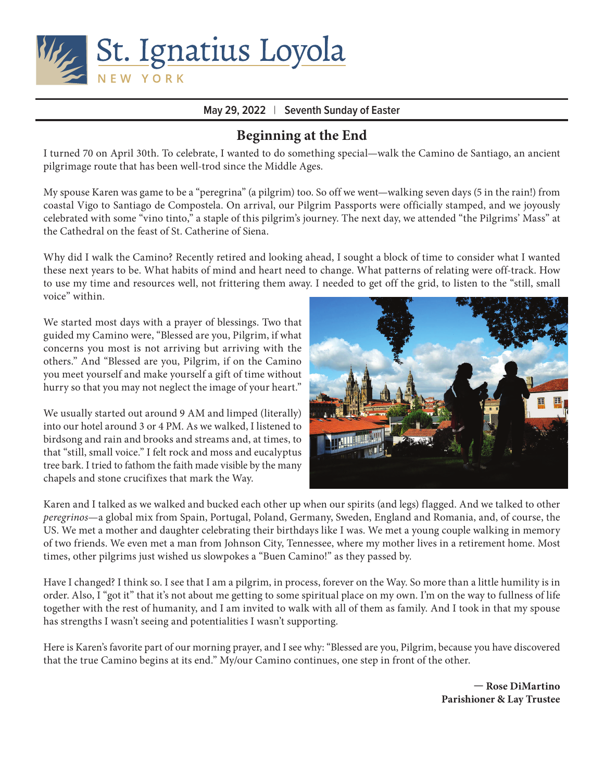

### **May 29, 2022** | **Seventh Sunday of Easter**

## **Beginning at the End**

I turned 70 on April 30th. To celebrate, I wanted to do something special—walk the Camino de Santiago, an ancient pilgrimage route that has been well-trod since the Middle Ages.

My spouse Karen was game to be a "peregrina" (a pilgrim) too. So off we went—walking seven days (5 in the rain!) from coastal Vigo to Santiago de Compostela. On arrival, our Pilgrim Passports were officially stamped, and we joyously celebrated with some "vino tinto," a staple of this pilgrim's journey. The next day, we attended "the Pilgrims' Mass" at the Cathedral on the feast of St. Catherine of Siena.

Why did I walk the Camino? Recently retired and looking ahead, I sought a block of time to consider what I wanted these next years to be. What habits of mind and heart need to change. What patterns of relating were off-track. How to use my time and resources well, not frittering them away. I needed to get off the grid, to listen to the "still, small voice" within.

We started most days with a prayer of blessings. Two that guided my Camino were, "Blessed are you, Pilgrim, if what concerns you most is not arriving but arriving with the others." And "Blessed are you, Pilgrim, if on the Camino you meet yourself and make yourself a gift of time without hurry so that you may not neglect the image of your heart."

We usually started out around 9 AM and limped (literally) into our hotel around 3 or 4 PM. As we walked, I listened to birdsong and rain and brooks and streams and, at times, to that "still, small voice." I felt rock and moss and eucalyptus tree bark. I tried to fathom the faith made visible by the many chapels and stone crucifixes that mark the Way.



Karen and I talked as we walked and bucked each other up when our spirits (and legs) flagged. And we talked to other *peregrinos*—a global mix from Spain, Portugal, Poland, Germany, Sweden, England and Romania, and, of course, the US. We met a mother and daughter celebrating their birthdays like I was. We met a young couple walking in memory of two friends. We even met a man from Johnson City, Tennessee, where my mother lives in a retirement home. Most times, other pilgrims just wished us slowpokes a "Buen Camino!" as they passed by.

Have I changed? I think so. I see that I am a pilgrim, in process, forever on the Way. So more than a little humility is in order. Also, I "got it" that it's not about me getting to some spiritual place on my own. I'm on the way to fullness of life together with the rest of humanity, and I am invited to walk with all of them as family. And I took in that my spouse has strengths I wasn't seeing and potentialities I wasn't supporting.

Here is Karen's favorite part of our morning prayer, and I see why: "Blessed are you, Pilgrim, because you have discovered that the true Camino begins at its end." My/our Camino continues, one step in front of the other.

> **— Rose DiMartino Parishioner & Lay Trustee**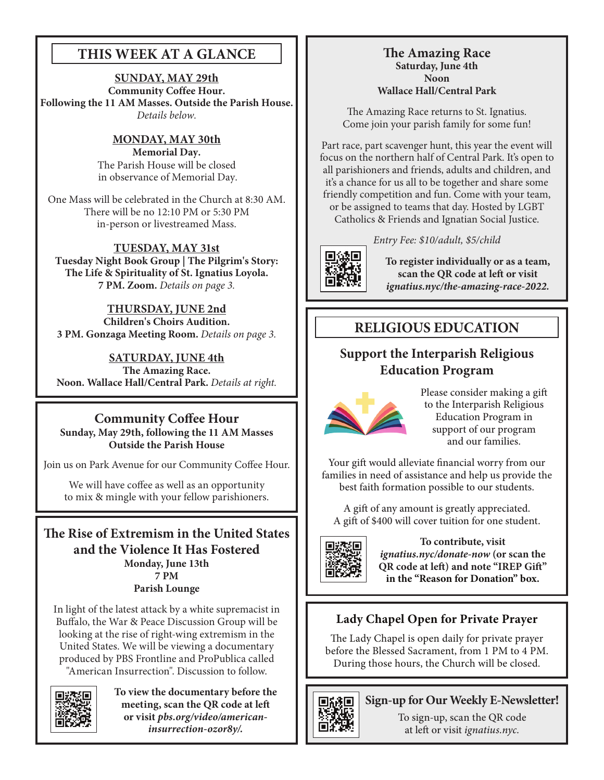# **THIS WEEK AT A GLANCE**

**SUNDAY, MAY 29th Community Coffee Hour. Following the 11 AM Masses. Outside the Parish House.**  *Details below.*

> **MONDAY, MAY 30th Memorial Day.** The Parish House will be closed in observance of Memorial Day.

One Mass will be celebrated in the Church at 8:30 AM. There will be no 12:10 PM or 5:30 PM in-person or livestreamed Mass.

**TUESDAY, MAY 31st Tuesday Night Book Group | The Pilgrim's Story: The Life & Spirituality of St. Ignatius Loyola. 7 PM. Zoom.** *Details on page 3.*

**THURSDAY, JUNE 2nd Children's Choirs Audition. 3 PM. Gonzaga Meeting Room.** *Details on page 3.*

**SATURDAY, JUNE 4th The Amazing Race. Noon. Wallace Hall/Central Park.** *Details at right.*

**Community Coffee Hour Sunday, May 29th, following the 11 AM Masses Outside the Parish House**

Join us on Park Avenue for our Community Coffee Hour.

We will have coffee as well as an opportunity to mix & mingle with your fellow parishioners.

**The Rise of Extremism in the United States and the Violence It Has Fostered Monday, June 13th 7 PM Parish Lounge**

In light of the latest attack by a white supremacist in Buffalo, the War & Peace Discussion Group will be looking at the rise of right-wing extremism in the United States. We will be viewing a documentary produced by PBS Frontline and ProPublica called "American Insurrection". Discussion to follow.

**To view the documentary before the meeting, scan the QR code at left or visit** *pbs.org/video/americaninsurrection-ozor8y/.*

### **The Amazing Race Saturday, June 4th Noon Wallace Hall/Central Park**

The Amazing Race returns to St. Ignatius. Come join your parish family for some fun!

Part race, part scavenger hunt, this year the event will focus on the northern half of Central Park. It's open to all parishioners and friends, adults and children, and it's a chance for us all to be together and share some friendly competition and fun. Come with your team, or be assigned to teams that day. Hosted by LGBT

Catholics & Friends and Ignatian Social Justice.

*Entry Fee: \$10/adult, \$5/child*



**To register individually or as a team, scan the QR code at left or visit**  *ignatius.nyc/the-amazing-race-2022.*

# **RELIGIOUS EDUCATION**

## **Support the Interparish Religious Education Program**



Please consider making a gift to the Interparish Religious Education Program in support of our program and our families.

Your gift would alleviate financial worry from our families in need of assistance and help us provide the best faith formation possible to our students.

A gift of any amount is greatly appreciated. A gift of \$400 will cover tuition for one student.



**To contribute, visit**  *ignatius.nyc/donate-now* **(or scan the QR code at left) and note "IREP Gift" in the "Reason for Donation" box.**

# **Lady Chapel Open for Private Prayer**

The Lady Chapel is open daily for private prayer before the Blessed Sacrament, from 1 PM to 4 PM. During those hours, the Church will be closed.



### **Sign-up for Our Weekly E-Newsletter!**

To sign-up, scan the QR code at left or visit *ignatius.nyc.*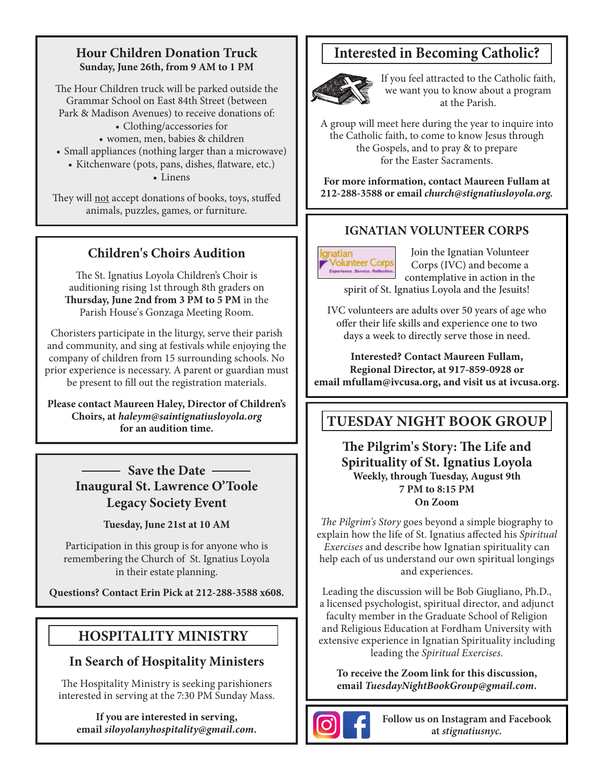### **Hour Children Donation Truck Sunday, June 26th, from 9 AM to 1 PM**

The Hour Children truck will be parked outside the Grammar School on East 84th Street (between Park & Madison Avenues) to receive donations of:

- Clothing/accessories for
- women, men, babies & children
- Small appliances (nothing larger than a microwave)
	- Kitchenware (pots, pans, dishes, flatware, etc.)

• Linens

They will not accept donations of books, toys, stuffed animals, puzzles, games, or furniture.

# **Children's Choirs Audition**

The St. Ignatius Loyola Children's Choir is auditioning rising 1st through 8th graders on **Thursday, June 2nd from 3 PM to 5 PM** in the Parish House's Gonzaga Meeting Room.

Choristers participate in the liturgy, serve their parish and community, and sing at festivals while enjoying the company of children from 15 surrounding schools. No prior experience is necessary. A parent or guardian must be present to fill out the registration materials.

**Please contact Maureen Haley, Director of Children's Choirs, at** *haleym@saintignatiusloyola.org* **for an audition time.**

> — Save the Date — **Inaugural St. Lawrence O'Toole Legacy Society Event**

> > **Tuesday, June 21st at 10 AM**

Participation in this group is for anyone who is remembering the Church of St. Ignatius Loyola in their estate planning.

**Questions? Contact Erin Pick at 212-288-3588 x608.**

# **HOSPITALITY MINISTRY**

## **In Search of Hospitality Ministers**

The Hospitality Ministry is seeking parishioners interested in serving at the 7:30 PM Sunday Mass.

**If you are interested in serving, email** *siloyolanyhospitality@gmail.com***.**

# **Interested in Becoming Catholic?**



If you feel attracted to the Catholic faith, we want you to know about a program at the Parish.

A group will meet here during the year to inquire into the Catholic faith, to come to know Jesus through the Gospels, and to pray & to prepare for the Easter Sacraments.

**For more information, contact Maureen Fullam at 212-288-3588 or email** *church@stignatiusloyola.org.*

### **IGNATIAN VOLUNTEER CORPS**



Join the Ignatian Volunteer Corps (IVC) and become a contemplative in action in the spirit of St. Ignatius Loyola and the Jesuits!

IVC volunteers are adults over 50 years of age who offer their life skills and experience one to two days a week to directly serve those in need.

**Interested? Contact Maureen Fullam, Regional Director, at 917-859-0928 or email mfullam@ivcusa.org, and visit us at ivcusa.org.**

# **TUESDAY NIGHT BOOK GROUP**

**The Pilgrim's Story: The Life and Spirituality of St. Ignatius Loyola Weekly, through Tuesday, August 9th 7 PM to 8:15 PM On Zoom**

*The Pilgrim's Story* goes beyond a simple biography to explain how the life of St. Ignatius affected his *Spiritual Exercises* and describe how Ignatian spirituality can help each of us understand our own spiritual longings and experiences.

Leading the discussion will be Bob Giugliano, Ph.D., a licensed psychologist, spiritual director, and adjunct faculty member in the Graduate School of Religion and Religious Education at Fordham University with extensive experience in Ignatian Spirituality including leading the *Spiritual Exercises*.

**To receive the Zoom link for this discussion, email** *TuesdayNightBookGroup@gmail.com***.**



**Follow us on Instagram and Facebook at** *stignatiusnyc.*